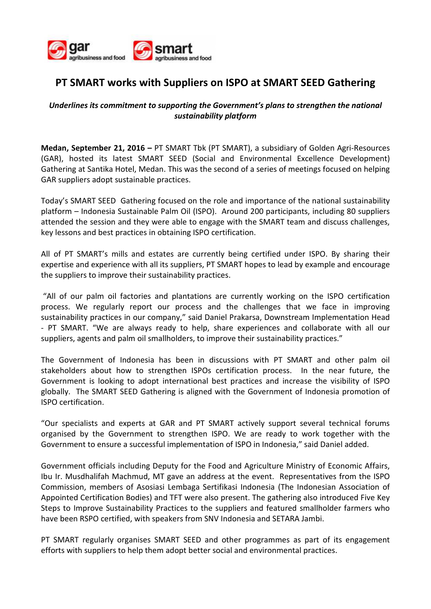

## **PT SMART works with Suppliers on ISPO at SMART SEED Gathering**

## *Underlines its commitment to supporting the Government's plans to strengthen the national sustainability platform*

**Medan, September 21, 2016 –** PT SMART Tbk (PT SMART), a subsidiary of Golden Agri-Resources (GAR), hosted its latest SMART SEED (Social and Environmental Excellence Development) Gathering at Santika Hotel, Medan. This was the second of a series of meetings focused on helping GAR suppliers adopt sustainable practices.

Today's SMART SEED Gathering focused on the role and importance of the national sustainability platform – Indonesia Sustainable Palm Oil (ISPO). Around 200 participants, including 80 suppliers attended the session and they were able to engage with the SMART team and discuss challenges, key lessons and best practices in obtaining ISPO certification.

All of PT SMART's mills and estates are currently being certified under ISPO. By sharing their expertise and experience with all its suppliers, PT SMART hopes to lead by example and encourage the suppliers to improve their sustainability practices.

 "All of our palm oil factories and plantations are currently working on the ISPO certification process. We regularly report our process and the challenges that we face in improving sustainability practices in our company," said Daniel Prakarsa, Downstream Implementation Head - PT SMART. "We are always ready to help, share experiences and collaborate with all our suppliers, agents and palm oil smallholders, to improve their sustainability practices."

The Government of Indonesia has been in discussions with PT SMART and other palm oil stakeholders about how to strengthen ISPOs certification process. In the near future, the Government is looking to adopt international best practices and increase the visibility of ISPO globally. The SMART SEED Gathering is aligned with the Government of Indonesia promotion of ISPO certification.

"Our specialists and experts at GAR and PT SMART actively support several technical forums organised by the Government to strengthen ISPO. We are ready to work together with the Government to ensure a successful implementation of ISPO in Indonesia," said Daniel added.

Government officials including Deputy for the Food and Agriculture Ministry of Economic Affairs, Ibu Ir. Musdhalifah Machmud, MT gave an address at the event. Representatives from the ISPO Commission, members of Asosiasi Lembaga Sertifikasi Indonesia (The Indonesian Association of Appointed Certification Bodies) and TFT were also present. The gathering also introduced Five Key Steps to Improve Sustainability Practices to the suppliers and featured smallholder farmers who have been RSPO certified, with speakers from SNV Indonesia and SETARA Jambi.

PT SMART regularly organises SMART SEED and other programmes as part of its engagement efforts with suppliers to help them adopt better social and environmental practices.